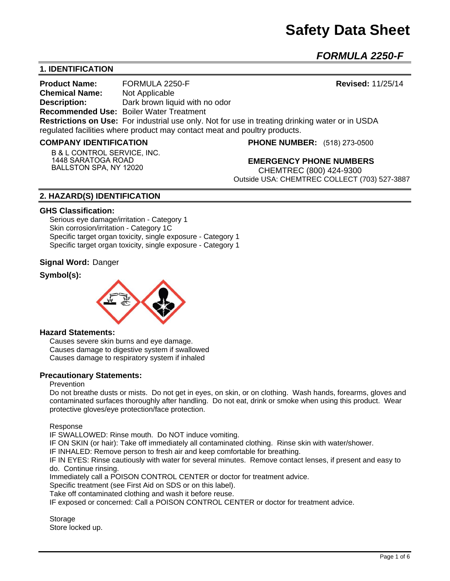# **Safety Data Sheet**

*FORMULA 2250-F* 

# **1. IDENTIFICATION**

**Product Name:** FORMULA 2250-F **Revised:** 11/25/14 **Chemical Name:** Not Applicable **Description:** Dark brown liquid with no odor **Recommended Use:** Boiler Water Treatment **Restrictions on Use:** For industrial use only. Not for use in treating drinking water or in USDA regulated facilities where product may contact meat and poultry products.

#### **COMPANY IDENTIFICATION**

**B & L CONTROL SERVICE, INC. 1448 SARATOGA ROAD BALLSTON SPA, NY 12020**

**PHONE NUMBER:** (518) 273-0500

**EMERGENCY PHONE NUMBERS** CHEMTREC (800) 424-9300 Outside USA: CHEMTREC COLLECT (703) 527-3887

# **2. HAZARD(S) IDENTIFICATION**

#### **GHS Classification:**

Serious eye damage/irritation - Category 1 Skin corrosion/irritation - Category 1C Specific target organ toxicity, single exposure - Category 1 Specific target organ toxicity, single exposure - Category 1

#### **Signal Word:** Danger

# **Symbol(s):**



#### **Hazard Statements:**

Causes severe skin burns and eye damage. Causes damage to digestive system if swallowed Causes damage to respiratory system if inhaled

#### **Precautionary Statements:**

#### Prevention

Do not breathe dusts or mists. Do not get in eyes, on skin, or on clothing. Wash hands, forearms, gloves and contaminated surfaces thoroughly after handling. Do not eat, drink or smoke when using this product. Wear protective gloves/eye protection/face protection.

Response

IF SWALLOWED: Rinse mouth. Do NOT induce vomiting.

IF ON SKIN (or hair): Take off immediately all contaminated clothing. Rinse skin with water/shower.

IF INHALED: Remove person to fresh air and keep comfortable for breathing.

IF IN EYES: Rinse cautiously with water for several minutes. Remove contact lenses, if present and easy to do. Continue rinsing.

Immediately call a POISON CONTROL CENTER or doctor for treatment advice.

Specific treatment (see First Aid on SDS or on this label).

Take off contaminated clothing and wash it before reuse.

IF exposed or concerned: Call a POISON CONTROL CENTER or doctor for treatment advice.

**Storage** Store locked up.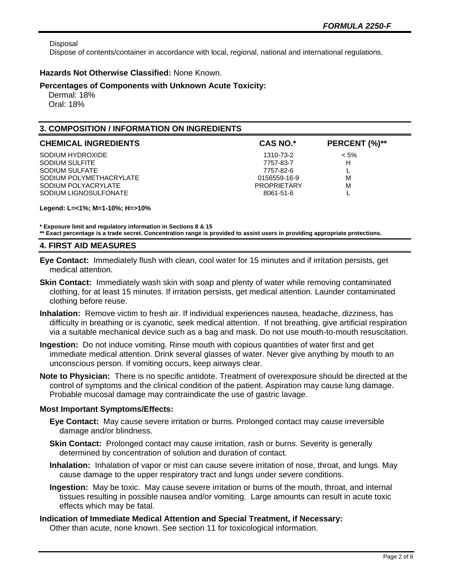Disposal

Dispose of contents/container in accordance with local, regional, national and international regulations.

## **Hazards Not Otherwise Classified:** None Known.

#### **Percentages of Components with Unknown Acute Toxicity:**

 Dermal: 18% Oral: 18%

# **3. COMPOSITION / INFORMATION ON INGREDIENTS**

| <b>CHEMICAL INGREDIENTS</b> | <b>CAS NO.*</b>    | PERCENT (%)** |
|-----------------------------|--------------------|---------------|
| SODIUM HYDROXIDE            | 1310-73-2          | $< 5\%$       |
| SODIUM SULFITE              | 7757-83-7          | н             |
| SODIUM SULFATE              | 7757-82-6          |               |
| SODIUM POLYMETHACRYLATE     | 0156559-16-9       | M             |
| SODIUM POLYACRYLATE         | <b>PROPRIETARY</b> | M             |
| SODIUM LIGNOSULFONATE       | 8061-51-6          |               |

**Legend: L=<1%; M=1-10%; H=>10%**

**\* Exposure limit and regulatory information in Sections 8 & 15**

**\*\* Exact percentage is a trade secret. Concentration range is provided to assist users in providing appropriate protections.**

## **4. FIRST AID MEASURES**

- **Eye Contact:** Immediately flush with clean, cool water for 15 minutes and if irritation persists, get medical attention.
- **Skin Contact:** Immediately wash skin with soap and plenty of water while removing contaminated clothing, for at least 15 minutes. If irritation persists, get medical attention. Launder contaminated clothing before reuse.
- **Inhalation:** Remove victim to fresh air. If individual experiences nausea, headache, dizziness, has difficulty in breathing or is cyanotic, seek medical attention. If not breathing, give artificial respiration via a suitable mechanical device such as a bag and mask. Do not use mouth-to-mouth resuscitation.
- **Ingestion:** Do not induce vomiting. Rinse mouth with copious quantities of water first and get immediate medical attention. Drink several glasses of water. Never give anything by mouth to an unconscious person. If vomiting occurs, keep airways clear.
- **Note to Physician:** There is no specific antidote. Treatment of overexposure should be directed at the control of symptoms and the clinical condition of the patient. Aspiration may cause lung damage. Probable mucosal damage may contraindicate the use of gastric lavage.

## **Most Important Symptoms/Effects:**

- **Eye Contact:** May cause severe irritation or burns. Prolonged contact may cause irreversible damage and/or blindness.
- **Skin Contact:** Prolonged contact may cause irritation, rash or burns. Severity is generally determined by concentration of solution and duration of contact.
- **Inhalation:** Inhalation of vapor or mist can cause severe irritation of nose, throat, and lungs. May cause damage to the upper respiratory tract and lungs under severe conditions.
- **Ingestion:** May be toxic. May cause severe irritation or burns of the mouth, throat, and internal tissues resulting in possible nausea and/or vomiting. Large amounts can result in acute toxic effects which may be fatal.

**Indication of Immediate Medical Attention and Special Treatment, if Necessary:** Other than acute, none known. See section 11 for toxicological information.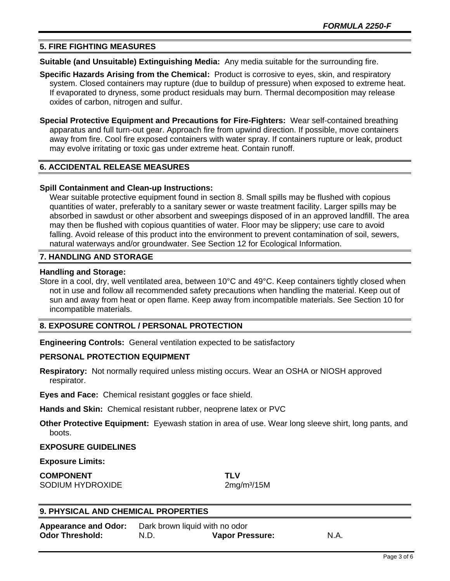## **5. FIRE FIGHTING MEASURES**

**Suitable (and Unsuitable) Extinguishing Media:** Any media suitable for the surrounding fire.

- **Specific Hazards Arising from the Chemical:** Product is corrosive to eyes, skin, and respiratory system. Closed containers may rupture (due to buildup of pressure) when exposed to extreme heat. If evaporated to dryness, some product residuals may burn. Thermal decomposition may release oxides of carbon, nitrogen and sulfur.
- **Special Protective Equipment and Precautions for Fire-Fighters:** Wear self-contained breathing apparatus and full turn-out gear. Approach fire from upwind direction. If possible, move containers away from fire. Cool fire exposed containers with water spray. If containers rupture or leak, product may evolve irritating or toxic gas under extreme heat. Contain runoff.

# **6. ACCIDENTAL RELEASE MEASURES**

#### **Spill Containment and Clean-up Instructions:**

Wear suitable protective equipment found in section 8. Small spills may be flushed with copious quantities of water, preferably to a sanitary sewer or waste treatment facility. Larger spills may be absorbed in sawdust or other absorbent and sweepings disposed of in an approved landfill. The area may then be flushed with copious quantities of water. Floor may be slippery; use care to avoid falling. Avoid release of this product into the environment to prevent contamination of soil, sewers, natural waterways and/or groundwater. See Section 12 for Ecological Information.

#### **7. HANDLING AND STORAGE**

#### **Handling and Storage:**

Store in a cool, dry, well ventilated area, between 10°C and 49°C. Keep containers tightly closed when not in use and follow all recommended safety precautions when handling the material. Keep out of sun and away from heat or open flame. Keep away from incompatible materials. See Section 10 for incompatible materials.

# **8. EXPOSURE CONTROL / PERSONAL PROTECTION**

**Engineering Controls:** General ventilation expected to be satisfactory

## **PERSONAL PROTECTION EQUIPMENT**

**Respiratory:** Not normally required unless misting occurs. Wear an OSHA or NIOSH approved respirator.

**Eyes and Face:** Chemical resistant goggles or face shield.

**Hands and Skin:** Chemical resistant rubber, neoprene latex or PVC

**Other Protective Equipment:** Eyewash station in area of use. Wear long sleeve shirt, long pants, and boots.

#### **EXPOSURE GUIDELINES**

#### **Exposure Limits:**

**COMPONENT TLV** SODIUM HYDROXIDE 2mg/m<sup>3</sup>/15M

## **9. PHYSICAL AND CHEMICAL PROPERTIES**

| <b>Appearance and Odor:</b> | Dark brown liquid with no odor |                        |      |
|-----------------------------|--------------------------------|------------------------|------|
| <b>Odor Threshold:</b>      | N.D.                           | <b>Vapor Pressure:</b> | N.A. |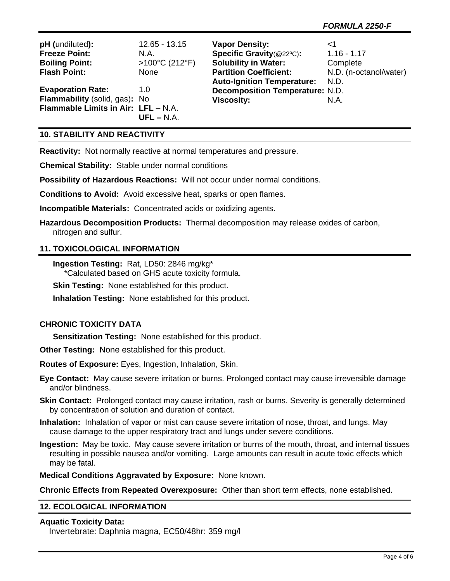| pH (undiluted):                     | $12.65 - 13.15$          | <b>Vapor Density:</b>                  | ا>                     |
|-------------------------------------|--------------------------|----------------------------------------|------------------------|
| <b>Freeze Point:</b>                | N.A.                     | Specific Gravity(@22°C):               | $1.16 - 1.17$          |
| <b>Boiling Point:</b>               | $>100^{\circ}$ C (212°F) | <b>Solubility in Water:</b>            | Complete               |
| <b>Flash Point:</b>                 | <b>None</b>              | <b>Partition Coefficient:</b>          | N.D. (n-octanol/water) |
|                                     |                          | Auto-Ignition Temperature: N.D.        |                        |
| <b>Evaporation Rate:</b>            | 1.0                      | <b>Decomposition Temperature: N.D.</b> |                        |
| Flammability (solid, gas): No       |                          | <b>Viscosity:</b>                      | N.A.                   |
| Flammable Limits in Air: LFL - N.A. |                          |                                        |                        |
|                                     | $UFL - N.A.$             |                                        |                        |

# **10. STABILITY AND REACTIVITY**

**Reactivity:** Not normally reactive at normal temperatures and pressure.

**Chemical Stability:** Stable under normal conditions

**Possibility of Hazardous Reactions:** Will not occur under normal conditions.

**Conditions to Avoid:** Avoid excessive heat, sparks or open flames.

**Incompatible Materials:** Concentrated acids or oxidizing agents.

**Hazardous Decomposition Products:** Thermal decomposition may release oxides of carbon, nitrogen and sulfur.

#### **11. TOXICOLOGICAL INFORMATION**

**Ingestion Testing:** Rat, LD50: 2846 mg/kg\* \*Calculated based on GHS acute toxicity formula.

**Skin Testing: None established for this product.** 

**Inhalation Testing:** None established for this product.

## **CHRONIC TOXICITY DATA**

**Sensitization Testing:** None established for this product.

**Other Testing:** None established for this product.

**Routes of Exposure:** Eyes, Ingestion, Inhalation, Skin.

**Eye Contact:** May cause severe irritation or burns. Prolonged contact may cause irreversible damage and/or blindness.

- **Skin Contact:** Prolonged contact may cause irritation, rash or burns. Severity is generally determined by concentration of solution and duration of contact.
- **Inhalation:** Inhalation of vapor or mist can cause severe irritation of nose, throat, and lungs. May cause damage to the upper respiratory tract and lungs under severe conditions.
- **Ingestion:** May be toxic. May cause severe irritation or burns of the mouth, throat, and internal tissues resulting in possible nausea and/or vomiting. Large amounts can result in acute toxic effects which may be fatal.

**Medical Conditions Aggravated by Exposure:** None known.

**Chronic Effects from Repeated Overexposure:** Other than short term effects, none established.

## **12. ECOLOGICAL INFORMATION**

#### **Aquatic Toxicity Data:**

Invertebrate: Daphnia magna, EC50/48hr: 359 mg/l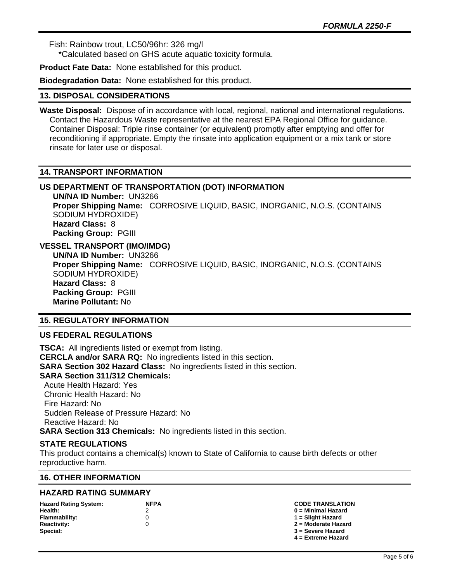Fish: Rainbow trout, LC50/96hr: 326 mg/l

\*Calculated based on GHS acute aquatic toxicity formula.

**Product Fate Data:** None established for this product.

**Biodegradation Data:** None established for this product.

#### **13. DISPOSAL CONSIDERATIONS**

**Waste Disposal:** Dispose of in accordance with local, regional, national and international regulations. Contact the Hazardous Waste representative at the nearest EPA Regional Office for guidance. Container Disposal: Triple rinse container (or equivalent) promptly after emptying and offer for reconditioning if appropriate. Empty the rinsate into application equipment or a mix tank or store rinsate for later use or disposal.

## **14. TRANSPORT INFORMATION**

# **US DEPARTMENT OF TRANSPORTATION (DOT) INFORMATION**

**UN/NA ID Number:** UN3266 **Proper Shipping Name:** CORROSIVE LIQUID, BASIC, INORGANIC, N.O.S. (CONTAINS SODIUM HYDROXIDE) **Hazard Class:** 8 **Packing Group:** PGIII

# **VESSEL TRANSPORT (IMO/IMDG)**

**UN/NA ID Number:** UN3266 **Proper Shipping Name:** CORROSIVE LIQUID, BASIC, INORGANIC, N.O.S. (CONTAINS SODIUM HYDROXIDE) **Hazard Class:** 8 **Packing Group:** PGIII **Marine Pollutant:** No

# **15. REGULATORY INFORMATION**

# **US FEDERAL REGULATIONS**

**TSCA:** All ingredients listed or exempt from listing. **CERCLA and/or SARA RQ:** No ingredients listed in this section. **SARA Section 302 Hazard Class:** No ingredients listed in this section. **SARA Section 311/312 Chemicals:**  Acute Health Hazard: Yes Chronic Health Hazard: No Fire Hazard: No Sudden Release of Pressure Hazard: No Reactive Hazard: No

**SARA Section 313 Chemicals:** No ingredients listed in this section.

## **STATE REGULATIONS**

This product contains a chemical(s) known to State of California to cause birth defects or other reproductive harm.

## **16. OTHER INFORMATION**

# **HAZARD RATING SUMMARY**

| <b>Hazard Rating System:</b> | <b>NFPA</b> | <b>CODE TRANSLATION</b> |
|------------------------------|-------------|-------------------------|
| Health:                      |             | $0 =$ Minimal Hazard    |
| Flammability:                |             | 1 = Slight Hazard       |
| <b>Reactivity:</b>           |             | 2 = Moderate Hazard     |
| Special:                     |             | 3 = Severe Hazard       |
|                              |             | $4$ = Extreme Hazard    |